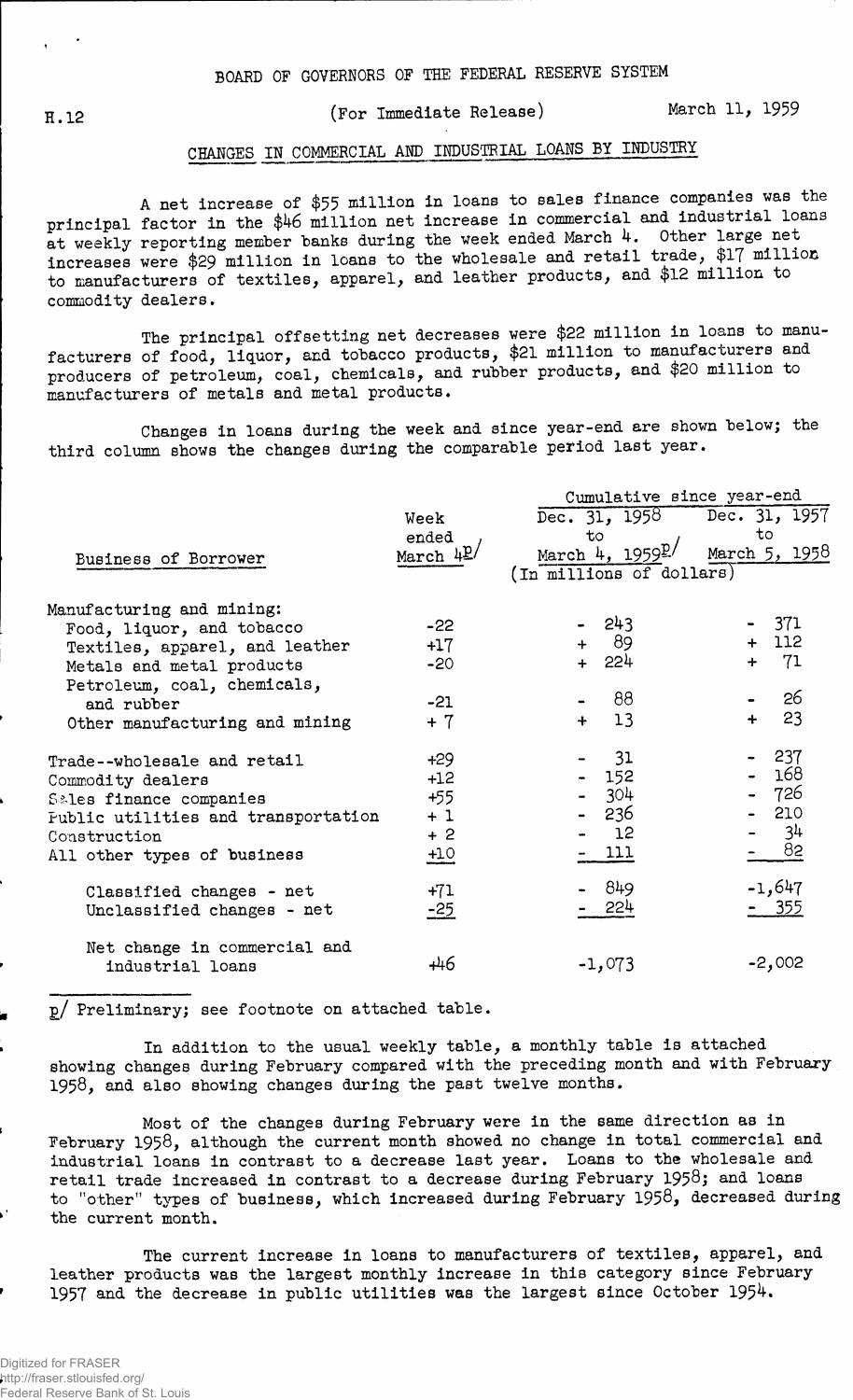## H.12 (For Immediate Release) March 11, 1959

## **CHANGES IN COMMERCIAL AND INDUSTRIAL LOANS BY INDUSTRY**

A net increase of \$55 million in loans to sales finance companies was the principal factor in the \$46 million net increase in commercial and industrial loans at weekly reporting member banks during the week ended March 4. Other large net increases were \$29 million in loans to the wholesale and retail trade, \$17 million to manufacturers of textiles, apparel, and leather products, and \$12 million to commodity dealers.

The principal offsetting net decreases were \$22 million in loans to manufacturers of food, liquor, and tobacco products, \$21 million to manufacturers and producers of petroleum, coal, chemicals, and rubber products, and \$20 million to manufacturers of metals and metal products.

Changes in loans during the week and since year-end are shown below; the third column shows the changes during the comparable period last year.

|                                                          |                     | Cumulative since year-end           |                     |  |  |  |  |
|----------------------------------------------------------|---------------------|-------------------------------------|---------------------|--|--|--|--|
|                                                          | Week                | Dec. 31, 1958 Dec. 31, 1957         |                     |  |  |  |  |
|                                                          | ended<br>March $4L$ | to<br>March 4, $1959$ <sup>p/</sup> | to<br>March 5, 1958 |  |  |  |  |
| Business of Borrower                                     |                     | (In millions of dollars)            |                     |  |  |  |  |
| Manufacturing and mining:                                |                     |                                     |                     |  |  |  |  |
| Food, liquor, and tobacco                                | $-22$               | - 243                               | - 371               |  |  |  |  |
| Textiles, apparel, and leather                           | $+17$               | + 89                                | $+ 112$             |  |  |  |  |
| Metals and metal products<br>Petroleum, coal, chemicals, | $-20$               | + 224                               | 71<br>$\div$        |  |  |  |  |
| and rubber                                               | $-21$               | 88                                  | 26                  |  |  |  |  |
| Other manufacturing and mining                           | $+7$                | $+ 13$                              | 23<br>$+$           |  |  |  |  |
| Trade--wholesale and retail                              | $+29$               | 31                                  | $-237$              |  |  |  |  |
| Commodity dealers                                        | $+12$               | $-152$                              | - 168               |  |  |  |  |
| Sales finance companies                                  | $+55$               | $-304$                              | - 726               |  |  |  |  |
| Fublic utilities and transportation                      | $+1$                | - 236                               | $-210$              |  |  |  |  |
| Construction                                             | $+2$                | 12                                  | 34                  |  |  |  |  |
| All other types of business                              | $\underline{+10}$   | $-111$                              | - 82                |  |  |  |  |
| Classified changes - net                                 | $+71$               | - 849                               | $-1,647$            |  |  |  |  |
| Unclassified changes - net                               | $-25$               | 554                                 | - 355               |  |  |  |  |
| Net change in commercial and                             |                     |                                     |                     |  |  |  |  |
| industrial loans                                         | +46                 | $-1,073$                            | $-2,002$            |  |  |  |  |

2/ Preliminary; see footnote on attached table.

In addition to the usual weekly table, a monthly table is attached showing changes during February compared with the preceding month and with February 1958, and also showing changes during the past twelve months.

Most of the changes during February were in the same direction as in February 1958, although the current month showed no change in total commercial and industrial loans in contrast to a decrease last year. Loans to the wholesale and retail trade increased in contrast to a decrease during February 1958; and loans to "other" types of business, which increased during February 1958, decreased during the current month.

The current increase in loans to manufacturers of textiles, apparel, and leather products was the largest monthly increase in this category since February 1957 and the decrease in public utilities was the largest since October  $1954$ .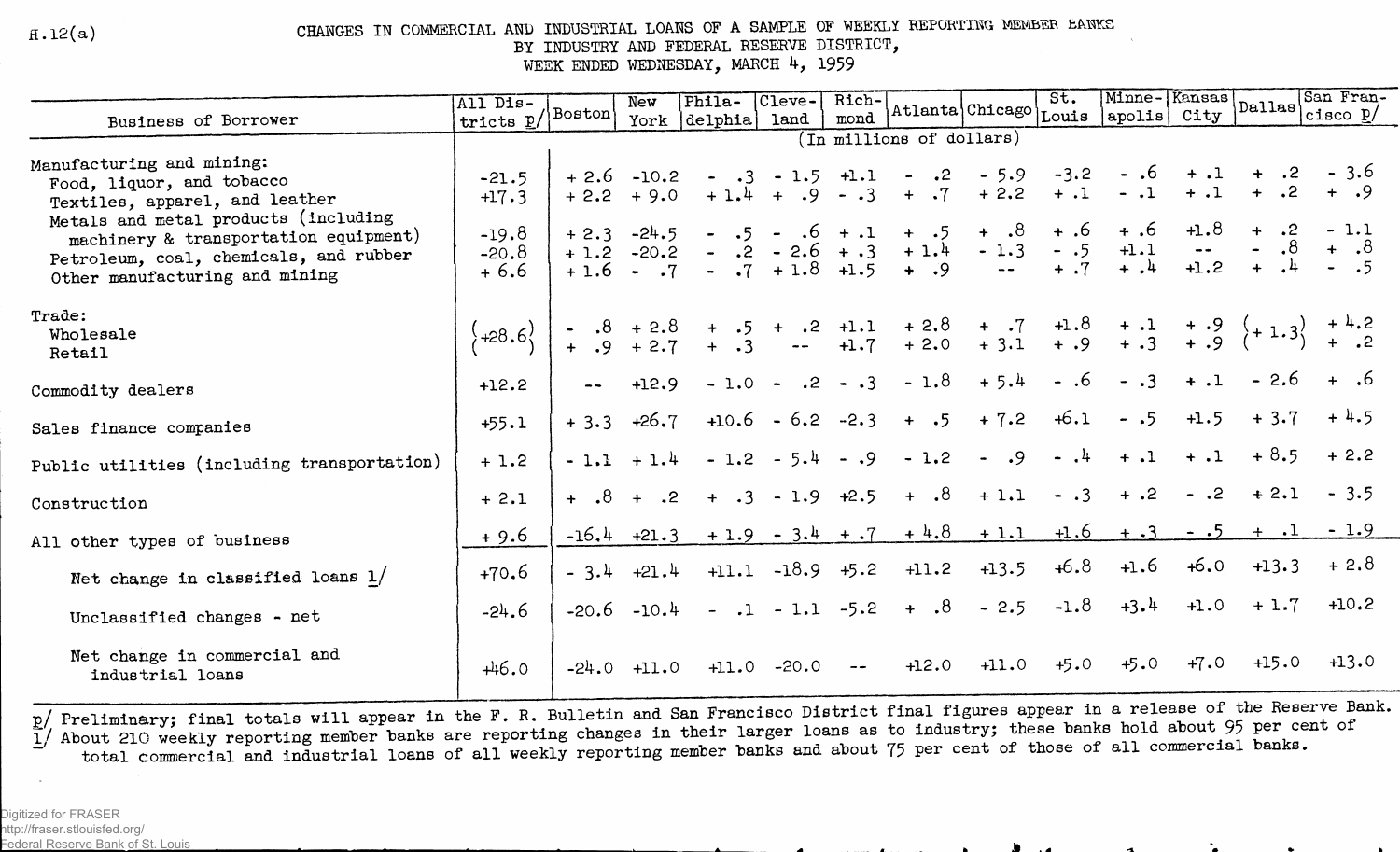$H.12(a)$ 

## CHANGES IN COMMERCIAL AND INDUSTRIAL LOANS OF A SAMPLE OF WEEKLY REPORTING MEMBER EANKS BY INDUSTRY AND FEDERAL RESERVE DISTRICT,

WEEK ENDED WEDNESDAY, MARCH 4, 1959

|                                                                                                                                                           | All Dis-                     |         | New                     | Phila-                                                                                                                                                        | Cleve-             | Rich-         |                              |                              | St.                       |                                               |                  |                                 | San Fran-<br>$\boxed{\text{Minne}-\left\lvert \begin{matrix} \text{Kansas} \\ \text{Callas} \end{matrix} \right\rvert \begin{matrix} \text{UOM} \\ \text{Cisco} \end{matrix} \begin{matrix} \text{VOM} \\ \text{Cisco} \end{matrix}}$ |
|-----------------------------------------------------------------------------------------------------------------------------------------------------------|------------------------------|---------|-------------------------|---------------------------------------------------------------------------------------------------------------------------------------------------------------|--------------------|---------------|------------------------------|------------------------------|---------------------------|-----------------------------------------------|------------------|---------------------------------|---------------------------------------------------------------------------------------------------------------------------------------------------------------------------------------------------------------------------------------|
| Business of Borrower                                                                                                                                      | tricts p/ Boston             |         | York                    | delphia land                                                                                                                                                  |                    | mond          | Atlanta Chicago Louis apolis |                              |                           |                                               |                  |                                 |                                                                                                                                                                                                                                       |
|                                                                                                                                                           | (In millions of dollars)     |         |                         |                                                                                                                                                               |                    |               |                              |                              |                           |                                               |                  |                                 |                                                                                                                                                                                                                                       |
| Manufacturing and mining:<br>Food, liquor, and tobacco<br>Textiles, apparel, and leather                                                                  | $-21.5$<br>$+17.3$           |         | $+2.2 + 9.0$            | $+2.6$ -10.2 - .3 - 1.5 +1.1 - .2 - 5.9                                                                                                                       |                    |               | $+1.4 + .9 - .3 + .7$        | $+2.2$                       | $-3.2$<br>$+ .1$          | $-.1$                                         | $+ .1$           | $-.6 + .1 + .2 - 3.6$<br>$+$ .2 | + .9                                                                                                                                                                                                                                  |
| Metals and metal products (including<br>machinery & transportation equipment)<br>Petroleum, coal, chemicals, and rubber<br>Other manufacturing and mining | $-19.8$<br>$-20.8$<br>$+6.6$ | $+2.3$  | $-24.5$<br>$+1.2 -20.2$ | $\sim$<br>$+1.6$ - .7 - .7 + 1.8 + 1.5 + .9                                                                                                                   | $-5 - .6 + .1$     |               | $.2 - 2.6 + .3 + 1.4 - 1.3$  | $+ .5 + .8$<br>$\sim$ $\sim$ | $+ .6$<br>$-.5$<br>$+ .7$ | $+ .6$<br>$+1.1$<br>$+$ $\cdot$ $\frac{1}{4}$ | $+1.8$<br>$+1.2$ |                                 | $+$ .2 - 1.1                                                                                                                                                                                                                          |
| Trade:<br>Wholesale<br>Retail                                                                                                                             | $\brace{+28.6}$              |         |                         | - $.8 + 2.8 + .5 + .2 + 1.1 + 2.8 + .7 + 1.8 + .1 + .9 + 1.3 + .2 + .3 - + 1.7 + 2.0 + 3.1 + .9 + .3 + .9 + 2.7 + .3 - + 1.7 + 2.0 + 3.1 + .9 + .3 + .9 + .2$ |                    |               |                              |                              |                           |                                               |                  |                                 |                                                                                                                                                                                                                                       |
| Commodity dealers                                                                                                                                         | $+12.2$                      |         | $-2 + 12.9$             | $-1.0 -$                                                                                                                                                      |                    |               | $.2 - .3 - 1.8$              | $+5.4$                       | $-.6$                     | $-3$                                          | $+ .1$           | $-2.6$                          | $+$ .6                                                                                                                                                                                                                                |
| Sales finance companies                                                                                                                                   | $+55.1$                      | $+3.3$  | $+26.7$                 |                                                                                                                                                               | $+10.6 - 6.2 -2.3$ |               | $+ .5$                       | $+7.2$                       | $+6.1$                    | $- .5$                                        | $+1.5$           | $+3.7$                          | $+4.5$                                                                                                                                                                                                                                |
| Public utilities (including transportation)                                                                                                               | $+1.2$                       |         | $-1.1 + 1.4$            |                                                                                                                                                               |                    |               | $-1.2 - 5.4 - .9 - 1.2$      | $- 0.9$                      |                           | $-1$ + 1                                      | $+ .1$           |                                 | $+8.5 + 2.2$                                                                                                                                                                                                                          |
| Construction                                                                                                                                              | $+ 2.1$                      |         | $4 \t .8 + .2$          |                                                                                                                                                               | $+ 3 - 1.9 +2.5$   |               |                              | $+ .8 + 1.1$                 | $\ddotsc 3$               | $+ .2$                                        | $-.2$            | $+ 2.1$                         | $-3.5$                                                                                                                                                                                                                                |
| All other types of business                                                                                                                               | $+9.6$                       |         | $-16.4$ $+21.3$         |                                                                                                                                                               |                    |               | $+1.9 - 3.4 + .7 + 4.8$      | $+1.1$                       | $+1.6$                    | $+ .3$                                        | $-1.5$           |                                 | $-1.9$                                                                                                                                                                                                                                |
| Net change in classified loans $1/$                                                                                                                       | $+70.6$                      | $-3.4$  | $+21.4$                 |                                                                                                                                                               | $+11.1 -18.9 +5.2$ |               | $+11.2$                      | $+13.5$                      | $+6.8$                    | +1.6                                          | +6.0             | $+13.3$                         | $+2.8$                                                                                                                                                                                                                                |
| Unclassified changes - net                                                                                                                                | $-24.6$                      | $-20.6$ | $-10.4$                 |                                                                                                                                                               | $-.1 - 1.1 -5.2$   |               | $+ .8$                       | $-2.5$                       | $-1.8$                    | $+3.4$                                        |                  | $+1.0 + 1.7$                    | $+10.2$                                                                                                                                                                                                                               |
| Net change in commercial and<br>industrial loans                                                                                                          | $+46.0$                      |         | $-24.0$ $+11.0$         | $+11.0$                                                                                                                                                       | $-20.0$            | $\sim$ $\sim$ | $+12.0$                      | $+11.0$                      | $+5.0$                    | +5.0                                          | $+7.0$           | +15.0                           | $+13.0$                                                                                                                                                                                                                               |

p/ Preliminary; final totals will appear in the F. R. Bulletin and San Francisco District final figures appear in a release of the Reserve Bank.<br>1/ About 210 weekly reporting member banks are reporting changes in their lar total commercial and industrial loans of all weekly reporting member banks and about 75 per cent of those of all commercial banks.

Digitized for FRASER http://fraser.stlouisfed.org/ Federal Reserve Bank of St. Louis

**Solution and Solution and Solution**